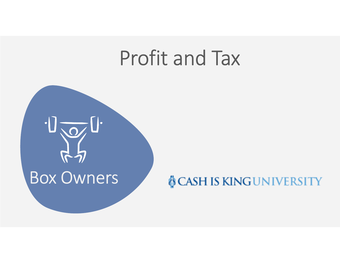# Profit and Tax

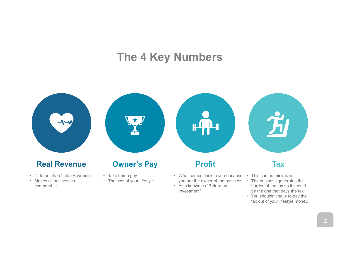#### The 4 Key Numbers



Investment"

burden of the tax so it should be the one that pays the tax

tax out of your lifestyle money.

2

comparable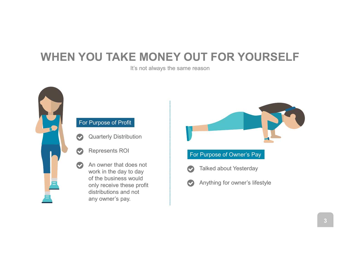## WHEN YOU TAKE MONEY OUT FOR YOURSELF

It's not always the same reason



#### For Purpose of Profit

- Quarterly Distribution
- Represents ROI
- An owner that does not work in the day to day of the business would only receive these profit distributions and not any owner's pay.





Anything for owner's lifestyle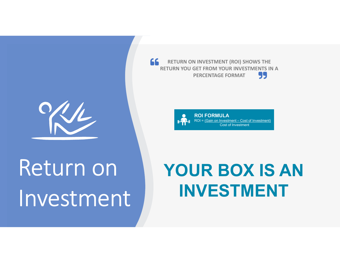

# Return on Investment

I INVESTMENT (ROI) SHOWS THE<br>
RET FROM YOUR INVESTMENTS IN A<br>
PERCENTAGE FORMAT<br>
ROI FORMULA<br>
ROI = <u>(Gain on Investment – Cost of Investment)</u><br>
Cost of Investment 66 RETURN ON INVESTMENT (ROI) SHOWS THE RETURN YOU GET FROM YOUR INVESTMENTS IN A PERCENTAGE FORMAT



# YOUR BOX IS AN INVESTMENT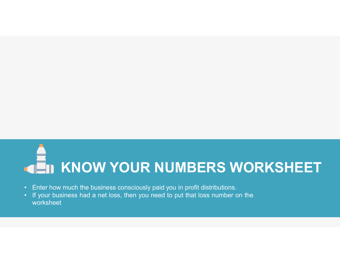# KNOW YOUR NUMBERS WORKSHEET FIN KNOW YOUR NUMBERS WORKSHEET<br>• Enter how much the business consciously paid you in profit distributions.<br>• If your business had a net loss, then you need to put that loss number on the worksheet • If your business had a net loss, then you need to put that loss number on the worksheet worksheet and a net loss, then you need to put that loss number on the worksheet

- 
- worksheet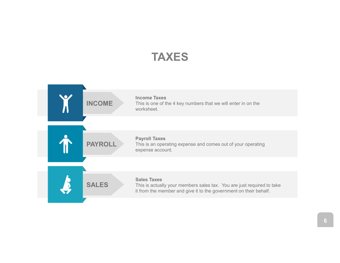#### TAXES